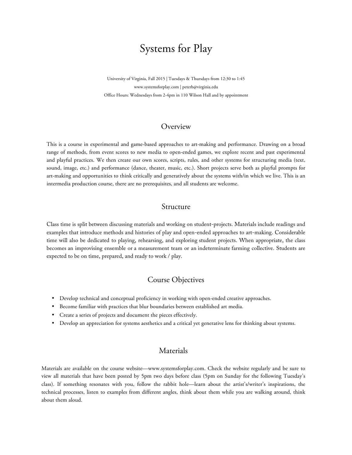## Systems for Play

University of Virginia, Fall 2015 | Tuesdays & Thursdays from 12:30 to 1:45 www.systemsforplay.com | peterb@virginia.edu Office Hours: Wednesdays from 2-4pm in 110 Wilson Hall and by appointment

## **Overview**

This is a course in experimental and game-based approaches to art-making and performance. Drawing on a broad range of methods, from event scores to new media to open-ended games, we explore recent and past experimental and playful practices. We then create our own scores, scripts, rules, and other systems for structuring media (text, sound, image, etc.) and performance (dance, theater, music, etc.). Short projects serve both as playful prompts for art-making and opportunities to think critically and generatively about the systems with/in which we live. This is an intermedia production course, there are no prerequisites, and all students are welcome.

## Structure

Class time is split between discussing materials and working on student-projects. Materials include readings and examples that introduce methods and histories of play and open-ended approaches to art-making. Considerable time will also be dedicated to playing, rehearsing, and exploring student projects. When appropriate, the class becomes an improvising ensemble or a measurement team or an indeterminate farming collective. Students are expected to be on time, prepared, and ready to work / play.

## Course Objectives

- Develop technical and conceptual proficiency in working with open-ended creative approaches.
- Become familiar with practices that blur boundaries between established art media.
- Create a series of projects and document the pieces effectively.
- Develop an appreciation for systems aesthetics and a critical yet generative lens for thinking about systems.

## Materials

Materials are available on the course website—www.systemsforplay.com. Check the website regularly and be sure to view all materials that have been posted by 5pm two days before class (5pm on Sunday for the following Tuesday's class). If something resonates with you, follow the rabbit hole—learn about the artist's/writer's inspirations, the technical processes, listen to examples from different angles, think about them while you are walking around, think about them aloud.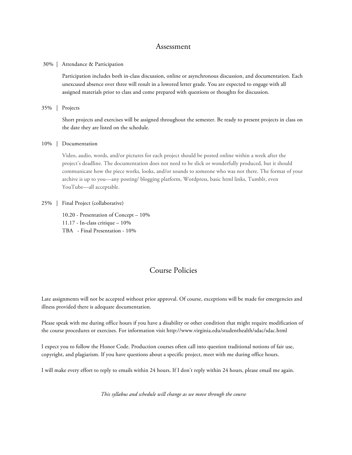### Assessment

#### 30% | Attendance & Participation

Participation includes both in-class discussion, online or asynchronous discussion, and documentation. Each unexcused absence over three will result in a lowered letter grade. You are expected to engage with all assigned materials prior to class and come prepared with questions or thoughts for discussion.

#### 35% | Projects

Short projects and exercises will be assigned throughout the semester. Be ready to present projects in class on the date they are listed on the schedule.

#### 10% | Documentation

Video, audio, words, and/or pictures for each project should be posted online within a week after the project's deadline. The documentation does not need to be slick or wonderfully produced, but it should communicate how the piece works, looks, and/or sounds to someone who was not there. The format of your archive is up to you—any posting/ blogging platform, Wordpress, basic html links, Tumblr, even YouTube—all acceptable.

#### 25% | Final Project (collaborative)

10.20 - Presentation of Concept – 10% 11.17 - In-class critique – 10% TBA - Final Presentation - 10%

## Course Policies

Late assignments will not be accepted without prior approval. Of course, exceptions will be made for emergencies and illness provided there is adequate documentation.

Please speak with me during office hours if you have a disability or other condition that might require modification of the course procedures or exercises. For information visit http://www.virginia.edu/studenthealth/sdac/sdac.html

I expect you to follow the Honor Code. Production courses often call into question traditional notions of fair use, copyright, and plagiarism. If you have questions about a specific project, meet with me during office hours.

I will make every effort to reply to emails within 24 hours. If I don't reply within 24 hours, please email me again.

*This syllabus and schedule will change as we move through the course*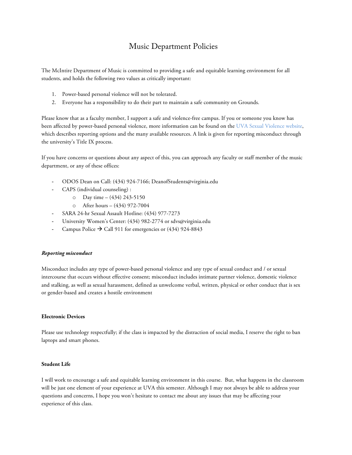## Music Department Policies

The McIntire Department of Music is committed to providing a safe and equitable learning environment for all students, and holds the following two values as critically important:

- 1. Power-based personal violence will not be tolerated.
- 2. Everyone has a responsibility to do their part to maintain a safe community on Grounds.

Please know that as a faculty member, I support a safe and violence-free campus. If you or someone you know has been affected by power-based personal violence, more information can be found on the UVA Sexual Violence website, which describes reporting options and the many available resources. A link is given for reporting misconduct through the university's Title IX process.

If you have concerns or questions about any aspect of this, you can approach any faculty or staff member of the music department, or any of these offices:

- ODOS Dean on Call: (434) 924-7166; DeanofStudents@virginia.edu
- CAPS (individual counseling) :
	- $O$  Day time (434) 243-5150
	- o After hours (434) 972-7004
- SARA 24-hr Sexual Assault Hotline: (434) 977-7273
- University Women's Center: (434) 982-2774 or sdvs@virginia.edu
- Campus Police  $\rightarrow$  Call 911 for emergencies or (434) 924-8843

#### *Reporting misconduct*

Misconduct includes any type of power-based personal violence and any type of sexual conduct and / or sexual intercourse that occurs without effective consent; misconduct includes intimate partner violence, domestic violence and stalking, as well as sexual harassment, defined as unwelcome verbal, written, physical or other conduct that is sex or gender-based and creates a hostile environment

#### **Electronic Devices**

Please use technology respectfully; if the class is impacted by the distraction of social media, I reserve the right to ban laptops and smart phones.

#### **Student Life**

I will work to encourage a safe and equitable learning environment in this course. But, what happens in the classroom will be just one element of your experience at UVA this semester. Although I may not always be able to address your questions and concerns, I hope you won't hesitate to contact me about any issues that may be affecting your experience of this class.